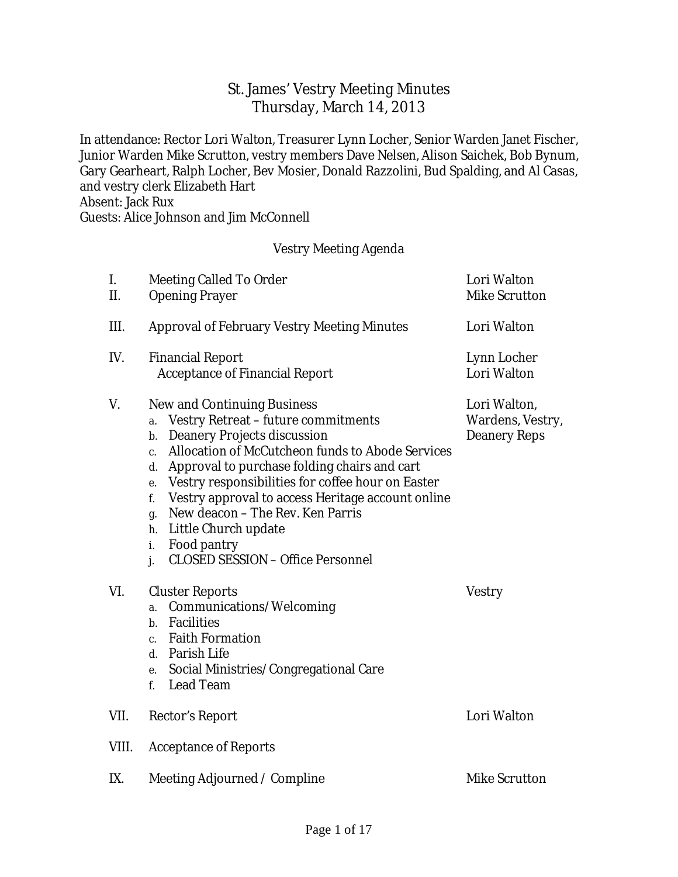# St. James' Vestry Meeting Minutes Thursday, March 14, 2013

In attendance: Rector Lori Walton, Treasurer Lynn Locher, Senior Warden Janet Fischer, Junior Warden Mike Scrutton, vestry members Dave Nelsen, Alison Saichek, Bob Bynum, Gary Gearheart, Ralph Locher, Bev Mosier, Donald Razzolini, Bud Spalding, and Al Casas, and vestry clerk Elizabeth Hart Absent: Jack Rux

Guests: Alice Johnson and Jim McConnell

### Vestry Meeting Agenda

| I.<br>II. | <b>Meeting Called To Order</b><br><b>Opening Prayer</b>                                                                                                                                                                                                                                                                                                                                                                                                                                                                        | Lori Walton<br><b>Mike Scrutton</b>                            |
|-----------|--------------------------------------------------------------------------------------------------------------------------------------------------------------------------------------------------------------------------------------------------------------------------------------------------------------------------------------------------------------------------------------------------------------------------------------------------------------------------------------------------------------------------------|----------------------------------------------------------------|
| III.      | <b>Approval of February Vestry Meeting Minutes</b>                                                                                                                                                                                                                                                                                                                                                                                                                                                                             | <b>Lori Walton</b>                                             |
| IV.       | <b>Financial Report</b><br><b>Acceptance of Financial Report</b>                                                                                                                                                                                                                                                                                                                                                                                                                                                               | <b>Lynn Locher</b><br><b>Lori Walton</b>                       |
| V.        | <b>New and Continuing Business</b><br><b>Vestry Retreat - future commitments</b><br>a.<br><b>Deanery Projects discussion</b><br>b.<br><b>Allocation of McCutcheon funds to Abode Services</b><br>c.<br>Approval to purchase folding chairs and cart<br>d.<br>Vestry responsibilities for coffee hour on Easter<br>e.<br>Vestry approval to access Heritage account online<br>f.<br>New deacon - The Rev. Ken Parris<br>g.<br>Little Church update<br>h.<br>Food pantry<br>i.<br><b>CLOSED SESSION - Office Personnel</b><br>j. | Lori Walton,<br><b>Wardens, Vestry,</b><br><b>Deanery Reps</b> |
| VI.       | <b>Cluster Reports</b><br><b>Communications/Welcoming</b><br>a.<br><b>Facilities</b><br>$\mathbf{b}$ .<br><b>Faith Formation</b><br>c.<br><b>Parish Life</b><br>d.<br>Social Ministries/Congregational Care<br>e.<br><b>Lead Team</b><br>f.                                                                                                                                                                                                                                                                                    | <b>Vestry</b>                                                  |
| VII.      | <b>Rector's Report</b>                                                                                                                                                                                                                                                                                                                                                                                                                                                                                                         | <b>Lori Walton</b>                                             |
| VIII.     | <b>Acceptance of Reports</b>                                                                                                                                                                                                                                                                                                                                                                                                                                                                                                   |                                                                |
| IX.       | Meeting Adjourned / Compline                                                                                                                                                                                                                                                                                                                                                                                                                                                                                                   | <b>Mike Scrutton</b>                                           |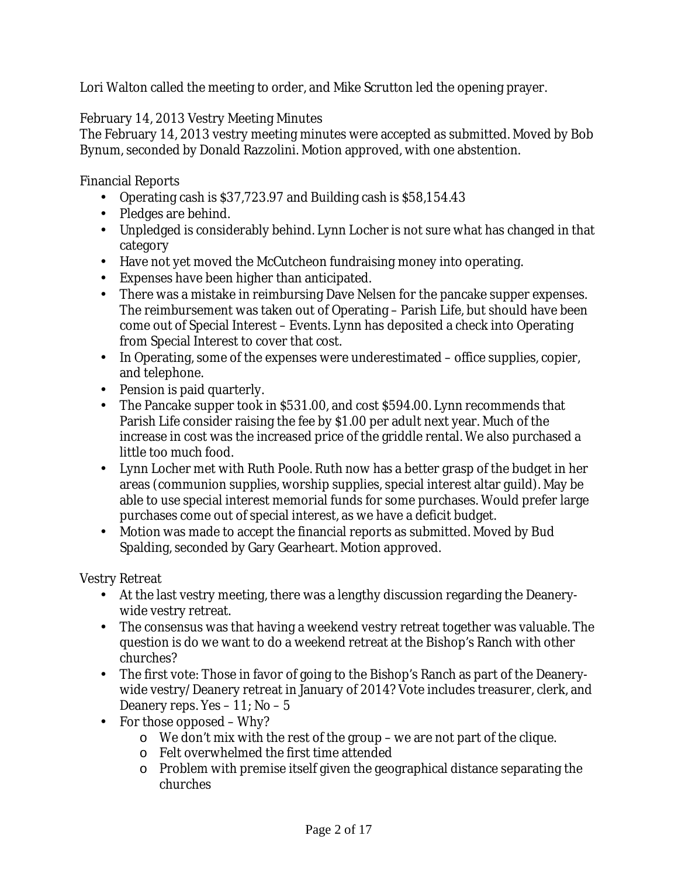Lori Walton called the meeting to order, and Mike Scrutton led the opening prayer.

February 14, 2013 Vestry Meeting Minutes

The February 14, 2013 vestry meeting minutes were accepted as submitted. Moved by Bob Bynum, seconded by Donald Razzolini. Motion approved, with one abstention.

Financial Reports

- Operating cash is \$37,723.97 and Building cash is \$58,154.43
- Pledges are behind.
- Unpledged is considerably behind. Lynn Locher is not sure what has changed in that category
- Have not yet moved the McCutcheon fundraising money into operating.
- Expenses have been higher than anticipated.
- There was a mistake in reimbursing Dave Nelsen for the pancake supper expenses. The reimbursement was taken out of Operating – Parish Life, but should have been come out of Special Interest – Events. Lynn has deposited a check into Operating from Special Interest to cover that cost.
- In Operating, some of the expenses were underestimated office supplies, copier, and telephone.
- Pension is paid quarterly.
- The Pancake supper took in \$531.00, and cost \$594.00. Lynn recommends that Parish Life consider raising the fee by \$1.00 per adult next year. Much of the increase in cost was the increased price of the griddle rental. We also purchased a little too much food.
- Lynn Locher met with Ruth Poole. Ruth now has a better grasp of the budget in her areas (communion supplies, worship supplies, special interest altar guild). May be able to use special interest memorial funds for some purchases. Would prefer large purchases come out of special interest, as we have a deficit budget.
- Motion was made to accept the financial reports as submitted. Moved by Bud Spalding, seconded by Gary Gearheart. Motion approved.

Vestry Retreat

- At the last vestry meeting, there was a lengthy discussion regarding the Deanerywide vestry retreat.
- The consensus was that having a weekend vestry retreat together was valuable. The question is do we want to do a weekend retreat at the Bishop's Ranch with other churches?
- The first vote: Those in favor of going to the Bishop's Ranch as part of the Deanerywide vestry/Deanery retreat in January of 2014? Vote includes treasurer, clerk, and Deanery reps. Yes – 11; No – 5
- For those opposed Why?
	- o We don't mix with the rest of the group we are not part of the clique.
	- o Felt overwhelmed the first time attended
	- o Problem with premise itself given the geographical distance separating the churches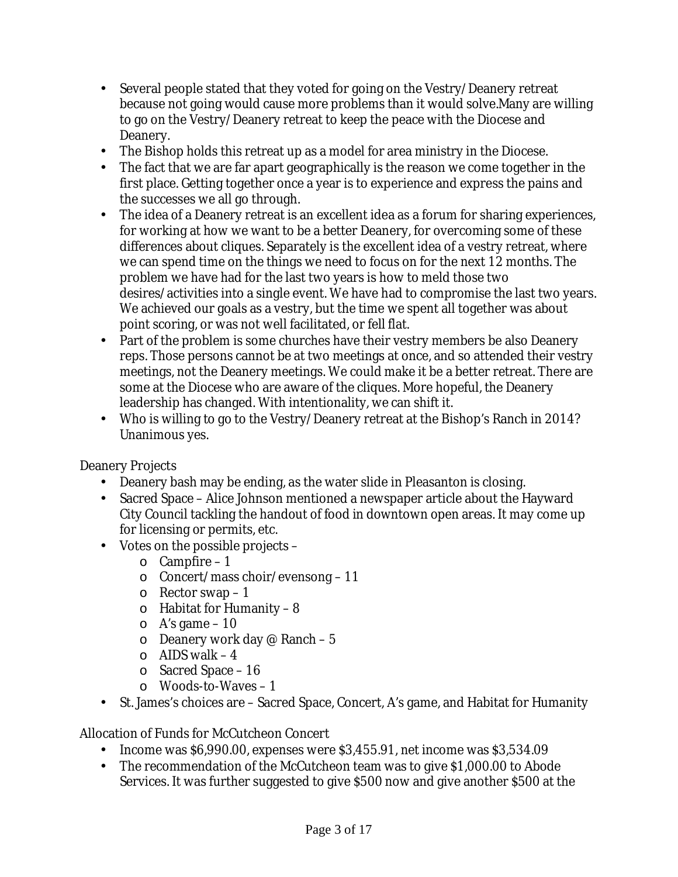- Several people stated that they voted for going on the Vestry/Deanery retreat because not going would cause more problems than it would solve.Many are willing to go on the Vestry/Deanery retreat to keep the peace with the Diocese and Deanery.
- The Bishop holds this retreat up as a model for area ministry in the Diocese.
- The fact that we are far apart geographically is the reason we come together in the first place. Getting together once a year is to experience and express the pains and the successes we all go through.
- The idea of a Deanery retreat is an excellent idea as a forum for sharing experiences, for working at how we want to be a better Deanery, for overcoming some of these differences about cliques. Separately is the excellent idea of a vestry retreat, where we can spend time on the things we need to focus on for the next 12 months. The problem we have had for the last two years is how to meld those two desires/activities into a single event. We have had to compromise the last two years. We achieved our goals as a vestry, but the time we spent all together was about point scoring, or was not well facilitated, or fell flat.
- Part of the problem is some churches have their vestry members be also Deanery reps. Those persons cannot be at two meetings at once, and so attended their vestry meetings, not the Deanery meetings. We could make it be a better retreat. There are some at the Diocese who are aware of the cliques. More hopeful, the Deanery leadership has changed. With intentionality, we can shift it.
- Who is willing to go to the Vestry/Deanery retreat at the Bishop's Ranch in 2014? Unanimous yes.

Deanery Projects

- Deanery bash may be ending, as the water slide in Pleasanton is closing.
- Sacred Space Alice Johnson mentioned a newspaper article about the Hayward City Council tackling the handout of food in downtown open areas. It may come up for licensing or permits, etc.
- Votes on the possible projects
	- o Campfire 1
	- o Concert/mass choir/evensong 11
	- $\circ$  Rector swap 1
	- $\circ$  Habitat for Humanity 8
	- $\circ$  A's game 10
	- $\circ$  Deanery work day @ Ranch 5
	- $\circ$  AIDS walk 4
	- o Sacred Space 16
	- o Woods-to-Waves 1
- St. James's choices are Sacred Space, Concert, A's game, and Habitat for Humanity

Allocation of Funds for McCutcheon Concert

- Income was \$6,990.00, expenses were \$3,455.91, net income was \$3,534.09
- The recommendation of the McCutcheon team was to give \$1,000.00 to Abode Services. It was further suggested to give \$500 now and give another \$500 at the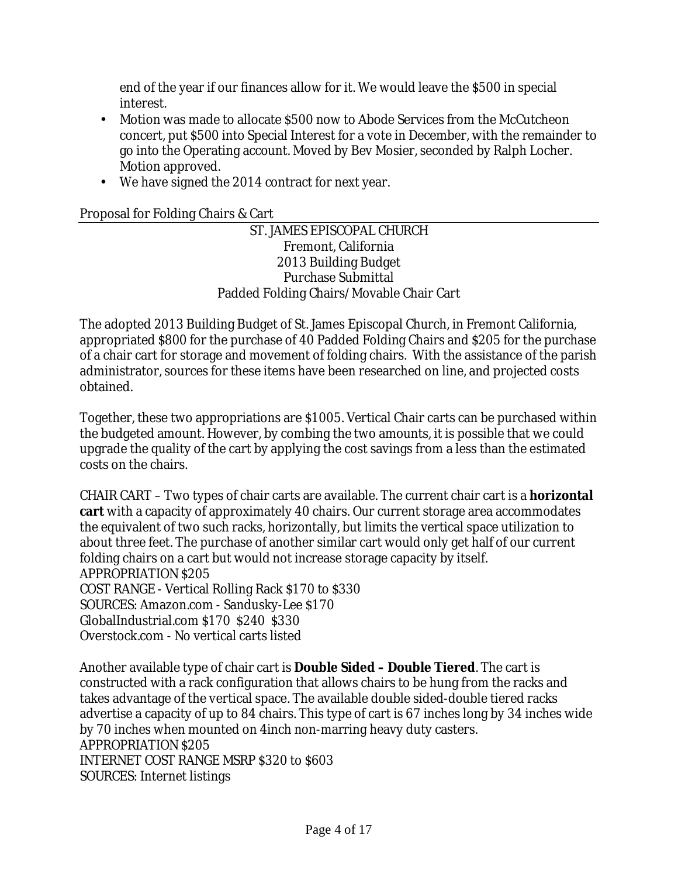end of the year if our finances allow for it. We would leave the \$500 in special interest.

- Motion was made to allocate \$500 now to Abode Services from the McCutcheon concert, put \$500 into Special Interest for a vote in December, with the remainder to go into the Operating account. Moved by Bev Mosier, seconded by Ralph Locher. Motion approved.
- We have signed the 2014 contract for next year.

# Proposal for Folding Chairs & Cart

ST. JAMES EPISCOPAL CHURCH Fremont, California 2013 Building Budget Purchase Submittal Padded Folding Chairs/Movable Chair Cart

The adopted 2013 Building Budget of St. James Episcopal Church, in Fremont California, appropriated \$800 for the purchase of 40 Padded Folding Chairs and \$205 for the purchase of a chair cart for storage and movement of folding chairs. With the assistance of the parish administrator, sources for these items have been researched on line, and projected costs obtained.

Together, these two appropriations are \$1005. Vertical Chair carts can be purchased within the budgeted amount. However, by combing the two amounts, it is possible that we could upgrade the quality of the cart by applying the cost savings from a less than the estimated costs on the chairs.

CHAIR CART – Two types of chair carts are available. The current chair cart is a **horizontal cart** with a capacity of approximately 40 chairs. Our current storage area accommodates the equivalent of two such racks, horizontally, but limits the vertical space utilization to about three feet. The purchase of another similar cart would only get half of our current folding chairs on a cart but would not increase storage capacity by itself. APPROPRIATION \$205 COST RANGE - Vertical Rolling Rack \$170 to \$330 SOURCES: Amazon.com - Sandusky-Lee \$170 GlobalIndustrial.com \$170 \$240 \$330 Overstock.com - No vertical carts listed

Another available type of chair cart is **Double Sided – Double Tiered**. The cart is constructed with a rack configuration that allows chairs to be hung from the racks and takes advantage of the vertical space. The available double sided-double tiered racks advertise a capacity of up to 84 chairs. This type of cart is 67 inches long by 34 inches wide by 70 inches when mounted on 4inch non-marring heavy duty casters. APPROPRIATION \$205 INTERNET COST RANGE MSRP \$320 to \$603 SOURCES: Internet listings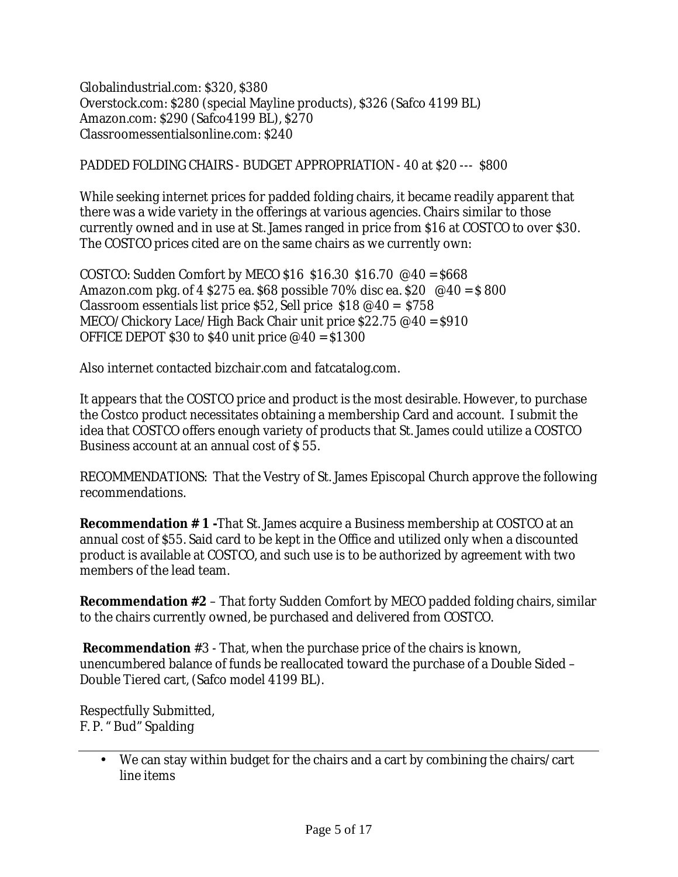Globalindustrial.com: \$320, \$380 Overstock.com: \$280 (special Mayline products), \$326 (Safco 4199 BL) Amazon.com: \$290 (Safco4199 BL), \$270 Classroomessentialsonline.com: \$240

### PADDED FOLDING CHAIRS - BUDGET APPROPRIATION - 40 at \$20 --- \$800

While seeking internet prices for padded folding chairs, it became readily apparent that there was a wide variety in the offerings at various agencies. Chairs similar to those currently owned and in use at St. James ranged in price from \$16 at COSTCO to over \$30. The COSTCO prices cited are on the same chairs as we currently own:

COSTCO: Sudden Comfort by MECO \$16 \$16.30 \$16.70 @40 = \$668 Amazon.com pkg. of 4 \$275 ea. \$68 possible 70% disc ea. \$20  $\degree$  @40 = \$800 Classroom essentials list price  $$52,$  Sell price  $$18 \text{ } \textcircled{ }40 = $758$ MECO/Chickory Lace/High Back Chair unit price \$22.75 @40 = \$910 OFFICE DEPOT \$30 to \$40 unit price  $@40 = $1300$ 

Also internet contacted bizchair.com and fatcatalog.com.

It appears that the COSTCO price and product is the most desirable. However, to purchase the Costco product necessitates obtaining a membership Card and account. I submit the idea that COSTCO offers enough variety of products that St. James could utilize a COSTCO Business account at an annual cost of \$ 55.

RECOMMENDATIONS: That the Vestry of St. James Episcopal Church approve the following recommendations.

**Recommendation # 1 -**That St. James acquire a Business membership at COSTCO at an annual cost of \$55. Said card to be kept in the Office and utilized only when a discounted product is available at COSTCO, and such use is to be authorized by agreement with two members of the lead team.

**Recommendation #2** – That forty Sudden Comfort by MECO padded folding chairs, similar to the chairs currently owned, be purchased and delivered from COSTCO.

**Recommendation** #3 - That, when the purchase price of the chairs is known, unencumbered balance of funds be reallocated toward the purchase of a Double Sided – Double Tiered cart, (Safco model 4199 BL).

Respectfully Submitted, F. P. " Bud" Spalding

<sup>•</sup> We can stay within budget for the chairs and a cart by combining the chairs/cart line items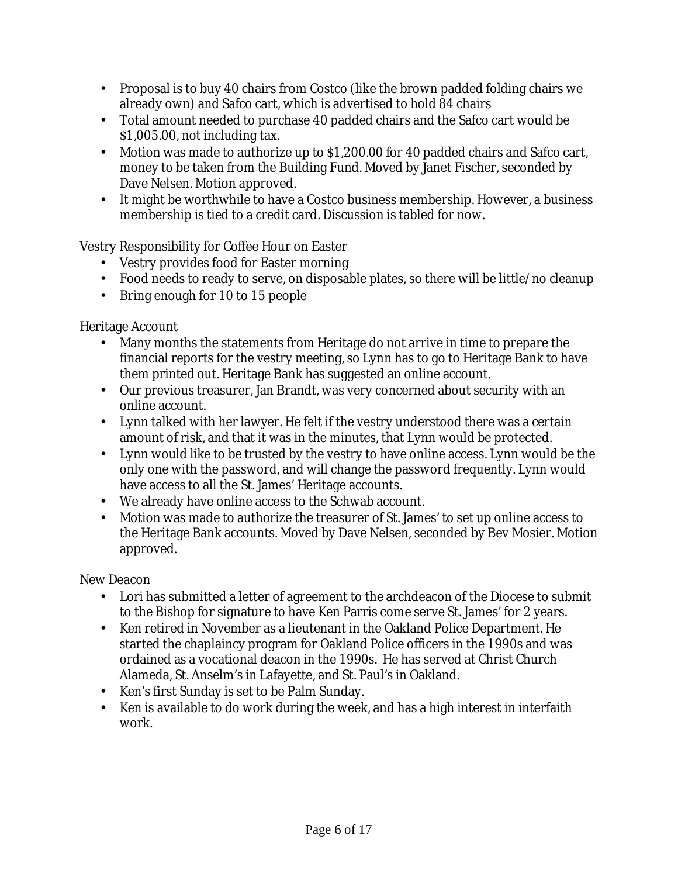- Proposal is to buy 40 chairs from Costco (like the brown padded folding chairs we already own) and Safco cart, which is advertised to hold 84 chairs
- Total amount needed to purchase 40 padded chairs and the Safco cart would be \$1,005.00, not including tax.
- Motion was made to authorize up to \$1,200.00 for 40 padded chairs and Safco cart, money to be taken from the Building Fund. Moved by Janet Fischer, seconded by Dave Nelsen. Motion approved.
- It might be worthwhile to have a Costco business membership. However, a business membership is tied to a credit card. Discussion is tabled for now.

Vestry Responsibility for Coffee Hour on Easter

- Vestry provides food for Easter morning
- Food needs to ready to serve, on disposable plates, so there will be little/no cleanup
- Bring enough for 10 to 15 people

Heritage Account

- Many months the statements from Heritage do not arrive in time to prepare the financial reports for the vestry meeting, so Lynn has to go to Heritage Bank to have them printed out. Heritage Bank has suggested an online account.
- Our previous treasurer, Jan Brandt, was very concerned about security with an online account.
- Lynn talked with her lawyer. He felt if the vestry understood there was a certain amount of risk, and that it was in the minutes, that Lynn would be protected.
- Lynn would like to be trusted by the vestry to have online access. Lynn would be the only one with the password, and will change the password frequently. Lynn would have access to all the St. James' Heritage accounts.
- We already have online access to the Schwab account.
- Motion was made to authorize the treasurer of St. James' to set up online access to the Heritage Bank accounts. Moved by Dave Nelsen, seconded by Bev Mosier. Motion approved.

New Deacon

- Lori has submitted a letter of agreement to the archdeacon of the Diocese to submit to the Bishop for signature to have Ken Parris come serve St. James' for 2 years.
- Ken retired in November as a lieutenant in the Oakland Police Department. He started the chaplaincy program for Oakland Police officers in the 1990s and was ordained as a vocational deacon in the 1990s. He has served at Christ Church Alameda, St. Anselm's in Lafayette, and St. Paul's in Oakland.
- Ken's first Sunday is set to be Palm Sunday.
- Ken is available to do work during the week, and has a high interest in interfaith work.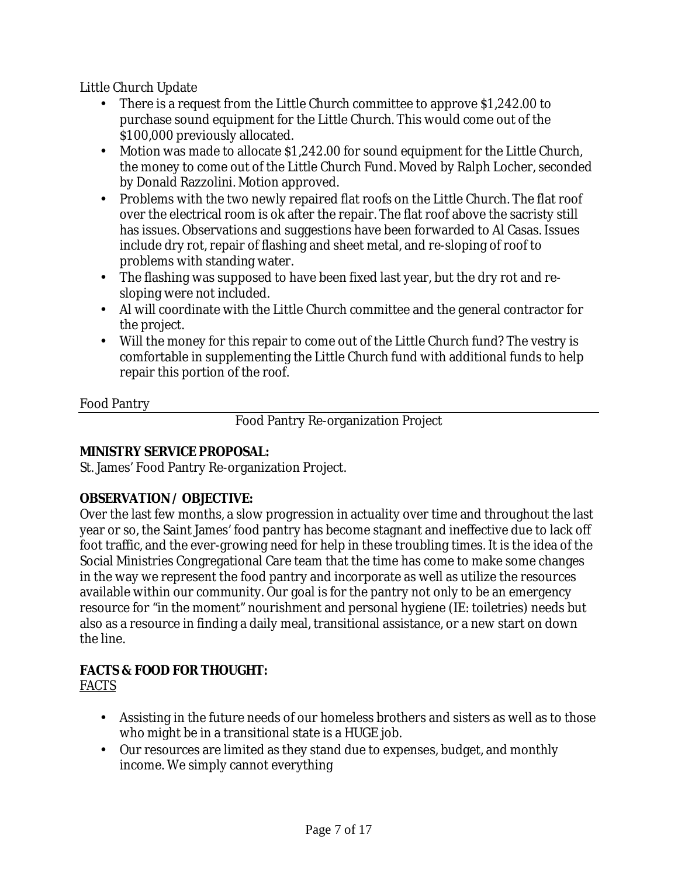Little Church Update

- There is a request from the Little Church committee to approve \$1,242.00 to purchase sound equipment for the Little Church. This would come out of the \$100,000 previously allocated.
- Motion was made to allocate \$1,242.00 for sound equipment for the Little Church, the money to come out of the Little Church Fund. Moved by Ralph Locher, seconded by Donald Razzolini. Motion approved.
- Problems with the two newly repaired flat roofs on the Little Church. The flat roof over the electrical room is ok after the repair. The flat roof above the sacristy still has issues. Observations and suggestions have been forwarded to Al Casas. Issues include dry rot, repair of flashing and sheet metal, and re-sloping of roof to problems with standing water.
- The flashing was supposed to have been fixed last year, but the dry rot and resloping were not included.
- Al will coordinate with the Little Church committee and the general contractor for the project.
- Will the money for this repair to come out of the Little Church fund? The vestry is comfortable in supplementing the Little Church fund with additional funds to help repair this portion of the roof.

# Food Pantry

Food Pantry Re-organization Project

# **MINISTRY SERVICE PROPOSAL:**

St. James' Food Pantry Re-organization Project.

# **OBSERVATION / OBJECTIVE:**

Over the last few months, a slow progression in actuality over time and throughout the last year or so, the Saint James' food pantry has become stagnant and ineffective due to lack off foot traffic, and the ever-growing need for help in these troubling times. It is the idea of the Social Ministries Congregational Care team that the time has come to make some changes in the way we represent the food pantry and incorporate as well as utilize the resources available within our community. Our goal is for the pantry not only to be an emergency resource for "in the moment" nourishment and personal hygiene (IE: toiletries) needs but also as a resource in finding a daily meal, transitional assistance, or a new start on down the line.

# **FACTS & FOOD FOR THOUGHT:**  *FACTS*

- Assisting in the future needs of our homeless brothers and sisters as well as to those who might be in a transitional state is a HUGE job.
- Our resources are limited as they stand due to expenses, budget, and monthly income. We simply cannot everything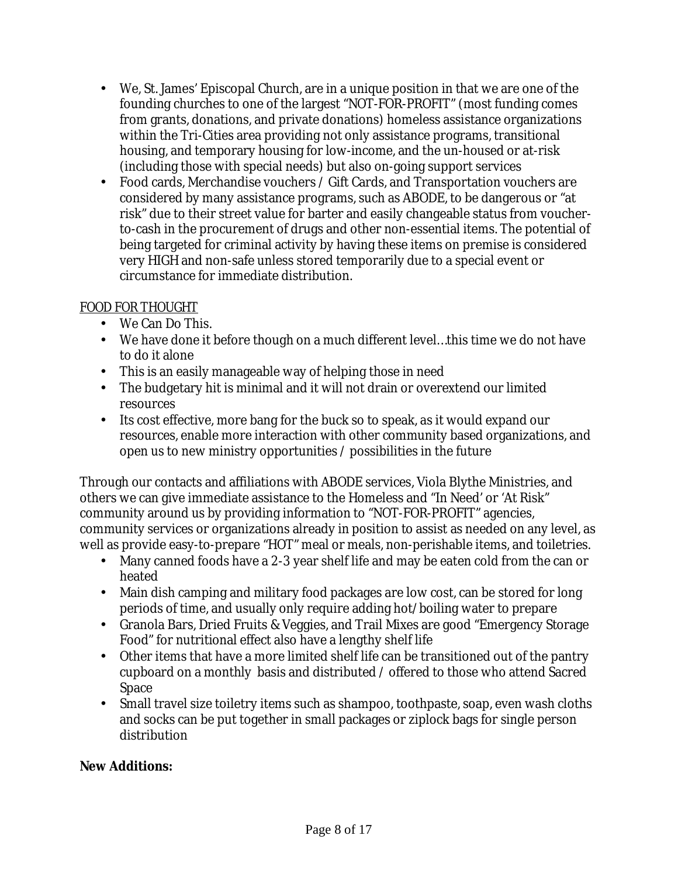- We, St. James' Episcopal Church, are in a unique position in that we are one of the founding churches to one of the largest "NOT-FOR-PROFIT" (most funding comes from grants, donations, and private donations) homeless assistance organizations within the Tri-Cities area providing not only assistance programs, transitional housing, and temporary housing for low-income, and the un-housed or at-risk (including those with special needs) but also on-going support services
- Food cards, Merchandise vouchers / Gift Cards, and Transportation vouchers are considered by many assistance programs, such as ABODE, to be dangerous or "at risk" due to their street value for barter and easily changeable status from voucherto-cash in the procurement of drugs and other non-essential items. The potential of being targeted for criminal activity by having these items on premise is considered very HIGH and non-safe unless stored temporarily due to a special event or circumstance for immediate distribution.

# *FOOD FOR THOUGHT*

- We Can Do This.
- We have done it before though on a much different level…this time we do not have to do it alone
- This is an easily manageable way of helping those in need
- The budgetary hit is minimal and it will not drain or overextend our limited resources
- Its cost effective, more bang for the buck so to speak, as it would expand our resources, enable more interaction with other community based organizations, and open us to new ministry opportunities / possibilities in the future

Through our contacts and affiliations with ABODE services, Viola Blythe Ministries, and others we can give immediate assistance to the Homeless and "In Need' or 'At Risk" community around us by providing information to "NOT-FOR-PROFIT" agencies, community services or organizations already in position to assist as needed on any level, as well as provide easy-to-prepare "HOT" meal or meals, non-perishable items, and toiletries.

- Many canned foods have a 2-3 year shelf life and may be eaten cold from the can or heated
- Main dish camping and military food packages are low cost, can be stored for long periods of time, and usually only require adding hot/boiling water to prepare
- Granola Bars, Dried Fruits & Veggies, and Trail Mixes are good "Emergency Storage Food" for nutritional effect also have a lengthy shelf life
- Other items that have a more limited shelf life can be transitioned out of the pantry cupboard on a monthly basis and distributed / offered to those who attend Sacred Space
- Small travel size toiletry items such as shampoo, toothpaste, soap, even wash cloths and socks can be put together in small packages or ziplock bags for single person distribution

**New Additions:**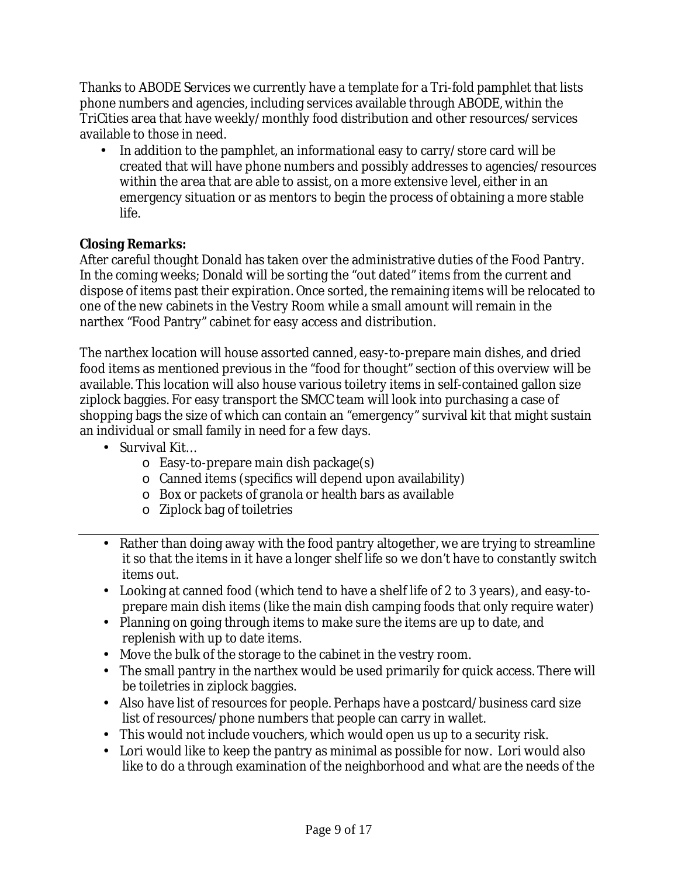Thanks to ABODE Services we currently have a template for a Tri-fold pamphlet that lists phone numbers and agencies, including services available through ABODE, within the TriCities area that have weekly/monthly food distribution and other resources/services available to those in need.

• In addition to the pamphlet, an informational easy to carry/store card will be created that will have phone numbers and possibly addresses to agencies/resources within the area that are able to assist, on a more extensive level, either in an emergency situation or as mentors to begin the process of obtaining a more stable life.

# **Closing Remarks:**

After careful thought Donald has taken over the administrative duties of the Food Pantry. In the coming weeks; Donald will be sorting the "out dated" items from the current and dispose of items past their expiration. Once sorted, the remaining items will be relocated to one of the new cabinets in the Vestry Room while a small amount will remain in the narthex "Food Pantry" cabinet for easy access and distribution.

The narthex location will house assorted canned, easy-to-prepare main dishes, and dried food items as mentioned previous in the "food for thought" section of this overview will be available. This location will also house various toiletry items in self-contained gallon size ziplock baggies. For easy transport the SMCC team will look into purchasing a case of shopping bags the size of which can contain an "emergency" survival kit that might sustain an individual or small family in need for a few days.

- Survival Kit…
	- $\circ$  Easy-to-prepare main dish package(s)
	- o Canned items (specifics will depend upon availability)
	- o Box or packets of granola or health bars as available
	- o Ziplock bag of toiletries
- Rather than doing away with the food pantry altogether, we are trying to streamline it so that the items in it have a longer shelf life so we don't have to constantly switch items out.
- Looking at canned food (which tend to have a shelf life of 2 to 3 years), and easy-toprepare main dish items (like the main dish camping foods that only require water)
- Planning on going through items to make sure the items are up to date, and replenish with up to date items.
- Move the bulk of the storage to the cabinet in the vestry room.
- The small pantry in the narthex would be used primarily for quick access. There will be toiletries in ziplock baggies.
- Also have list of resources for people. Perhaps have a postcard/business card size list of resources/phone numbers that people can carry in wallet.
- This would not include vouchers, which would open us up to a security risk.
- Lori would like to keep the pantry as minimal as possible for now. Lori would also like to do a through examination of the neighborhood and what are the needs of the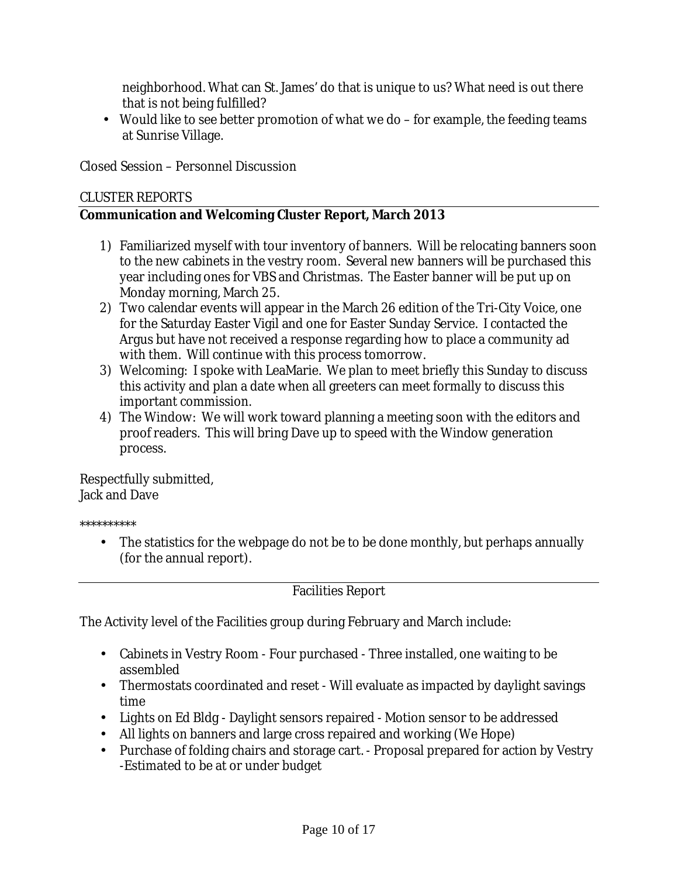neighborhood. What can St. James' do that is unique to us? What need is out there that is not being fulfilled?

• Would like to see better promotion of what we do – for example, the feeding teams at Sunrise Village.

Closed Session – Personnel Discussion

#### CLUSTER REPORTS

**Communication and Welcoming Cluster Report, March 2013** 

- 1) Familiarized myself with tour inventory of banners. Will be relocating banners soon to the new cabinets in the vestry room. Several new banners will be purchased this year including ones for VBS and Christmas. The Easter banner will be put up on Monday morning, March 25.
- 2) Two calendar events will appear in the March 26 edition of the Tri-City Voice, one for the Saturday Easter Vigil and one for Easter Sunday Service. I contacted the Argus but have not received a response regarding how to place a community ad with them. Will continue with this process tomorrow.
- 3) Welcoming: I spoke with LeaMarie. We plan to meet briefly this Sunday to discuss this activity and plan a date when all greeters can meet formally to discuss this important commission.
- 4) The Window: We will work toward planning a meeting soon with the editors and proof readers. This will bring Dave up to speed with the Window generation process.

Respectfully submitted, Jack and Dave

\*\*\*\*\*\*\*\*\*\*

• The statistics for the webpage do not be to be done monthly, but perhaps annually (for the annual report).

Facilities Report

The Activity level of the Facilities group during February and March include:

- Cabinets in Vestry Room Four purchased Three installed, one waiting to be assembled
- Thermostats coordinated and reset Will evaluate as impacted by daylight savings time
- Lights on Ed Bldg Daylight sensors repaired Motion sensor to be addressed
- All lights on banners and large cross repaired and working (We Hope)
- Purchase of folding chairs and storage cart. Proposal prepared for action by Vestry -Estimated to be at or under budget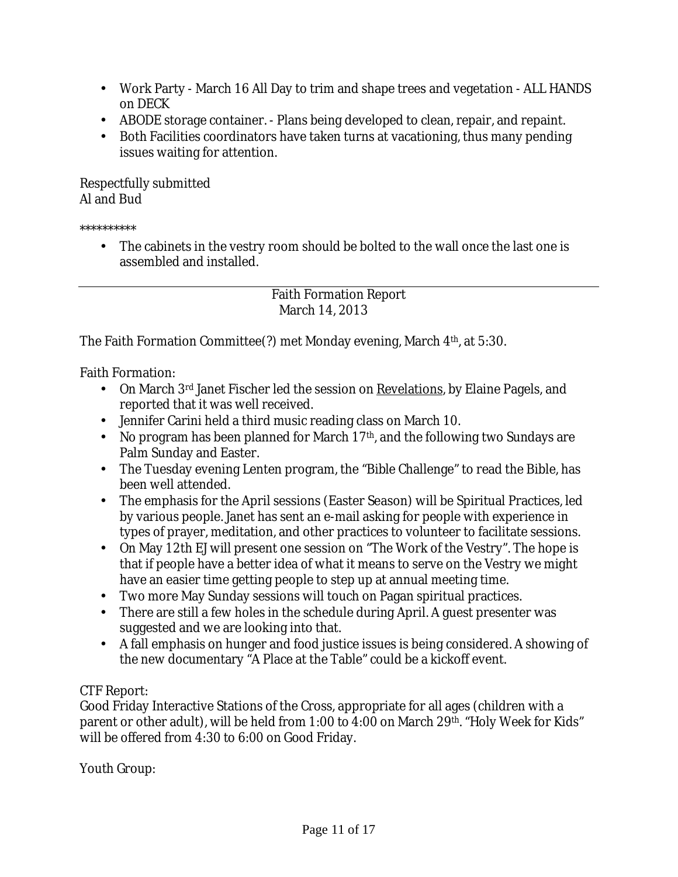- Work Party March 16 All Day to trim and shape trees and vegetation ALL HANDS on DECK
- ABODE storage container. Plans being developed to clean, repair, and repaint.
- Both Facilities coordinators have taken turns at vacationing, thus many pending issues waiting for attention.

Respectfully submitted Al and Bud

\*\*\*\*\*\*\*\*\*\*

• The cabinets in the vestry room should be bolted to the wall once the last one is assembled and installed.

> Faith Formation Report March 14, 2013

The Faith Formation Committee(?) met Monday evening, March 4<sup>th</sup>, at 5:30.

Faith Formation:

- On March 3<sup>rd</sup> Janet Fischer led the session on <u>Revelations</u>, by Elaine Pagels, and reported that it was well received.
- Jennifer Carini held a third music reading class on March 10.
- No program has been planned for March  $17<sup>th</sup>$ , and the following two Sundays are Palm Sunday and Easter.
- The Tuesday evening Lenten program, the "Bible Challenge" to read the Bible, has been well attended.
- The emphasis for the April sessions (Easter Season) will be Spiritual Practices, led by various people. Janet has sent an e-mail asking for people with experience in types of prayer, meditation, and other practices to volunteer to facilitate sessions.
- On May 12th EJ will present one session on "The Work of the Vestry". The hope is that if people have a better idea of what it means to serve on the Vestry we might have an easier time getting people to step up at annual meeting time.
- Two more May Sunday sessions will touch on Pagan spiritual practices.
- There are still a few holes in the schedule during April. A guest presenter was suggested and we are looking into that.
- A fall emphasis on hunger and food justice issues is being considered. A showing of the new documentary "A Place at the Table" could be a kickoff event.

# CTF Report:

Good Friday Interactive Stations of the Cross, appropriate for all ages (children with a parent or other adult), will be held from 1:00 to 4:00 on March 29<sup>th</sup>. "Holy Week for Kids" will be offered from 4:30 to 6:00 on Good Friday.

Youth Group: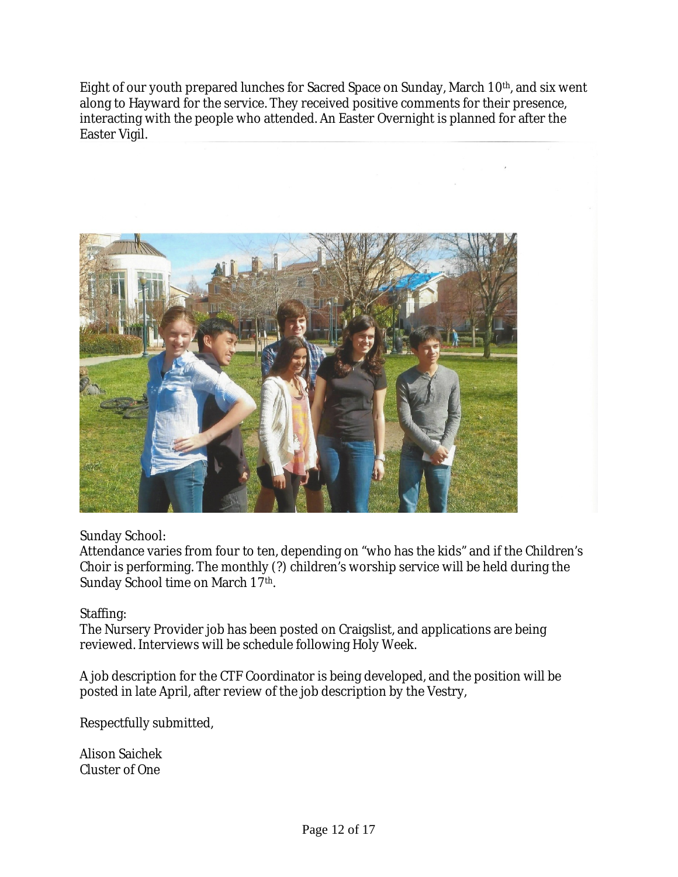Eight of our youth prepared lunches for Sacred Space on Sunday, March 10<sup>th</sup>, and six went along to Hayward for the service. They received positive comments for their presence, interacting with the people who attended. An Easter Overnight is planned for after the Easter Vigil.



Sunday School:

Attendance varies from four to ten, depending on "who has the kids" and if the Children's Choir is performing. The monthly (?) children's worship service will be held during the Sunday School time on March 17th.

Staffing:

The Nursery Provider job has been posted on Craigslist, and applications are being reviewed. Interviews will be schedule following Holy Week.

A job description for the CTF Coordinator is being developed, and the position will be posted in late April, after review of the job description by the Vestry,

Respectfully submitted,

Alison Saichek Cluster of One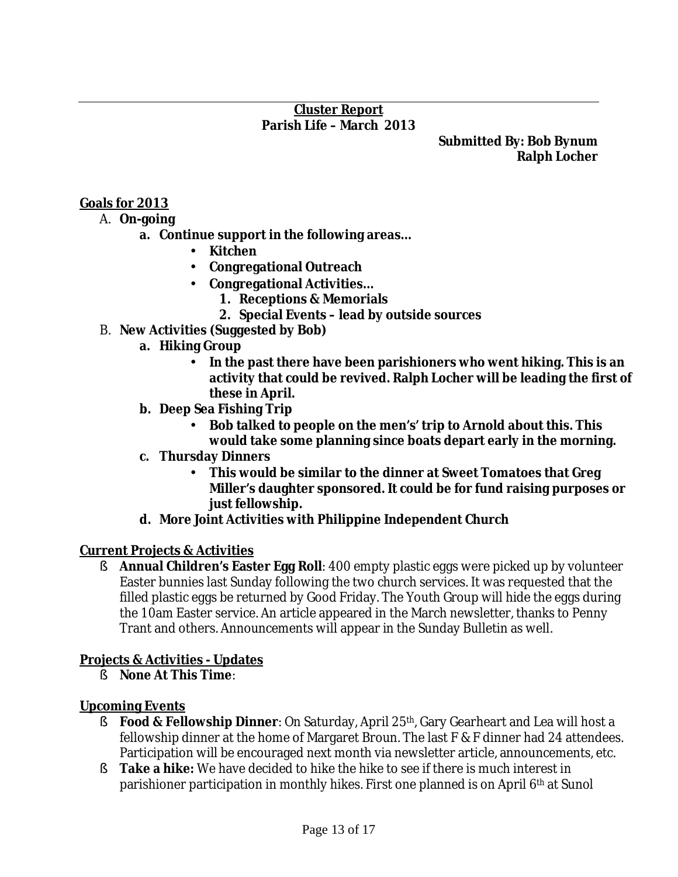# **Cluster Report Parish Life – March 2013**

**Submitted By: Bob Bynum Ralph Locher**

# **Goals for 2013**

- A. **On-going** 
	- **a. Continue support in the following areas…** 
		- **Kitchen**
		- **Congregational Outreach**
		- **Congregational Activities…** 
			- **1. Receptions & Memorials**
			- **2. Special Events lead by outside sources**
- B. **New Activities (Suggested by Bob)** 
	- **a. Hiking Group** 
		- **In the past there have been parishioners who went hiking. This is an activity that could be revived. Ralph Locher will be leading the first of these in April.**
	- **b. Deep Sea Fishing Trip** 
		- **Bob talked to people on the men's' trip to Arnold about this. This would take some planning since boats depart early in the morning.**
	- **c. Thursday Dinners** 
		- **This would be similar to the dinner at Sweet Tomatoes that Greg Miller's daughter sponsored. It could be for fund raising purposes or just fellowship.**
	- **d. More Joint Activities with Philippine Independent Church**

### **Current Projects & Activities**

§ **Annual Children's Easter Egg Roll**: 400 empty plastic eggs were picked up by volunteer Easter bunnies last Sunday following the two church services. It was requested that the filled plastic eggs be returned by Good Friday. The Youth Group will hide the eggs during the 10am Easter service. An article appeared in the March newsletter, thanks to Penny Trant and others. Announcements will appear in the Sunday Bulletin as well.

### **Projects & Activities - Updates**

§ **None At This Time**:

### **Upcoming Events**

- § **Food & Fellowship Dinner**: On Saturday, April 25th, Gary Gearheart and Lea will host a fellowship dinner at the home of Margaret Broun. The last F & F dinner had 24 attendees. Participation will be encouraged next month via newsletter article, announcements, etc.
- § **Take a hike:** We have decided to hike the hike to see if there is much interest in parishioner participation in monthly hikes. First one planned is on April 6<sup>th</sup> at Sunol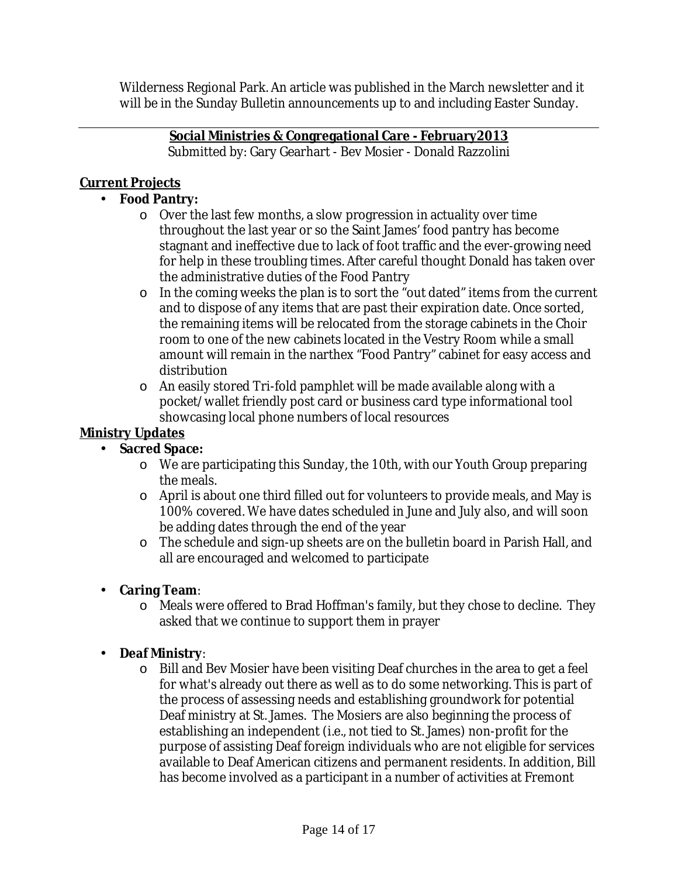Wilderness Regional Park. An article was published in the March newsletter and it will be in the Sunday Bulletin announcements up to and including Easter Sunday.

> **Social Ministries & Congregational Care - February2013** Submitted by: Gary Gearhart - Bev Mosier - Donald Razzolini

# **Current Projects**

- **Food Pantry:** 
	- o Over the last few months, a slow progression in actuality over time throughout the last year or so the Saint James' food pantry has become stagnant and ineffective due to lack of foot traffic and the ever-growing need for help in these troubling times. After careful thought Donald has taken over the administrative duties of the Food Pantry
	- o In the coming weeks the plan is to sort the "out dated" items from the current and to dispose of any items that are past their expiration date. Once sorted, the remaining items will be relocated from the storage cabinets in the Choir room to one of the new cabinets located in the Vestry Room while a small amount will remain in the narthex "Food Pantry" cabinet for easy access and distribution
	- o An easily stored Tri-fold pamphlet will be made available along with a pocket/wallet friendly post card or business card type informational tool showcasing local phone numbers of local resources

# **Ministry Updates**

- **Sacred Space:**
	- o We are participating this Sunday, the 10th, with our Youth Group preparing the meals.
	- o April is about one third filled out for volunteers to provide meals, and May is 100% covered. We have dates scheduled in June and July also, and will soon be adding dates through the end of the year
	- o The schedule and sign-up sheets are on the bulletin board in Parish Hall, and all are encouraged and welcomed to participate
- **Caring Team**:
	- o Meals were offered to Brad Hoffman's family, but they chose to decline. They asked that we continue to support them in prayer
- **Deaf Ministry**:
	- $\circ$  Bill and Bev Mosier have been visiting Deaf churches in the area to get a feel for what's already out there as well as to do some networking. This is part of the process of assessing needs and establishing groundwork for potential Deaf ministry at St. James. The Mosiers are also beginning the process of establishing an independent (i.e., not tied to St. James) non-profit for the purpose of assisting Deaf foreign individuals who are not eligible for services available to Deaf American citizens and permanent residents. In addition, Bill has become involved as a participant in a number of activities at Fremont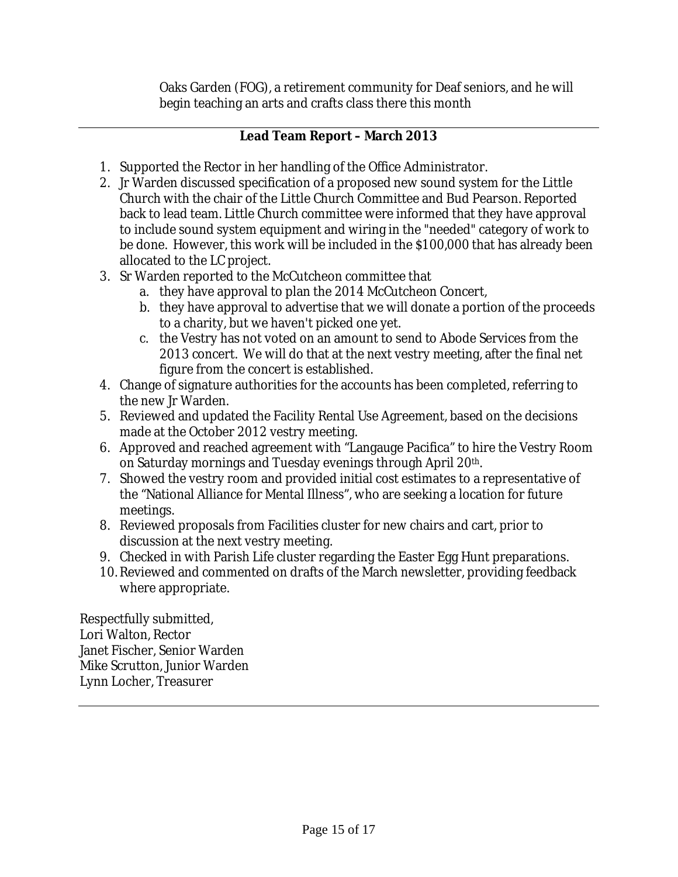Oaks Garden (FOG), a retirement community for Deaf seniors, and he will begin teaching an arts and crafts class there this month

# **Lead Team Report – March 2013**

- 1. Supported the Rector in her handling of the Office Administrator.
- 2. Jr Warden discussed specification of a proposed new sound system for the Little Church with the chair of the Little Church Committee and Bud Pearson. Reported back to lead team. Little Church committee were informed that they have approval to include sound system equipment and wiring in the "needed" category of work to be done. However, this work will be included in the \$100,000 that has already been allocated to the LC project.
- 3. Sr Warden reported to the McCutcheon committee that
	- a. they have approval to plan the 2014 McCutcheon Concert,
	- b. they have approval to advertise that we will donate a portion of the proceeds to a charity, but we haven't picked one yet.
	- c. the Vestry has not voted on an amount to send to Abode Services from the 2013 concert. We will do that at the next vestry meeting, after the final net figure from the concert is established.
- 4. Change of signature authorities for the accounts has been completed, referring to the new Jr Warden.
- 5. Reviewed and updated the Facility Rental Use Agreement, based on the decisions made at the October 2012 vestry meeting.
- 6. Approved and reached agreement with "Langauge Pacifica" to hire the Vestry Room on Saturday mornings and Tuesday evenings through April 20th.
- 7. Showed the vestry room and provided initial cost estimates to a representative of the "National Alliance for Mental Illness", who are seeking a location for future meetings.
- 8. Reviewed proposals from Facilities cluster for new chairs and cart, prior to discussion at the next vestry meeting.
- 9. Checked in with Parish Life cluster regarding the Easter Egg Hunt preparations.
- 10. Reviewed and commented on drafts of the March newsletter, providing feedback where appropriate.

Respectfully submitted, Lori Walton, Rector Janet Fischer, Senior Warden Mike Scrutton, Junior Warden Lynn Locher, Treasurer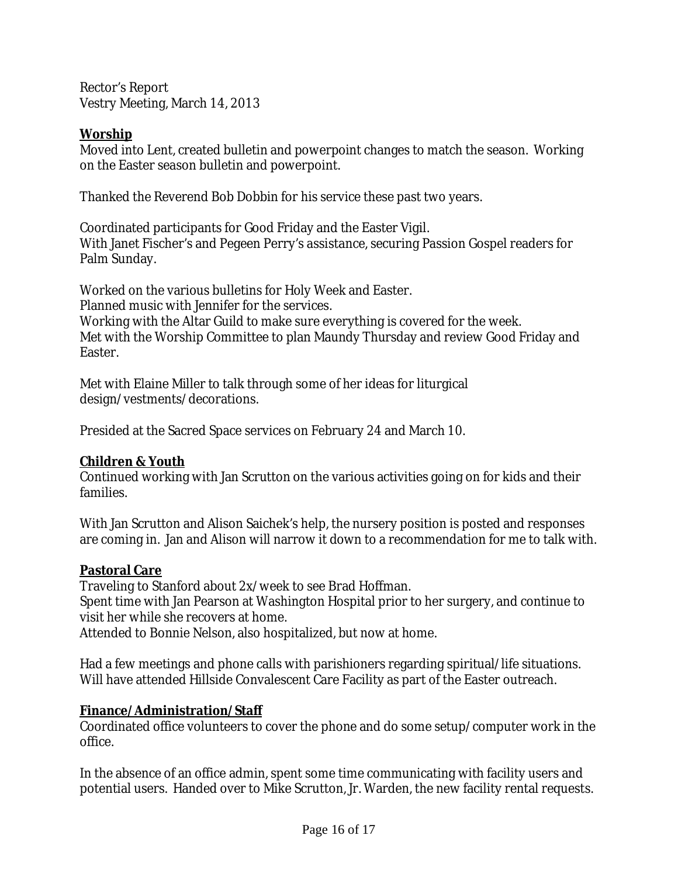Rector's Report Vestry Meeting, March 14, 2013

**Worship**

Moved into Lent, created bulletin and powerpoint changes to match the season. Working on the Easter season bulletin and powerpoint.

Thanked the Reverend Bob Dobbin for his service these past two years.

Coordinated participants for Good Friday and the Easter Vigil. With Janet Fischer's and Pegeen Perry's assistance, securing Passion Gospel readers for Palm Sunday.

Worked on the various bulletins for Holy Week and Easter. Planned music with Jennifer for the services. Working with the Altar Guild to make sure everything is covered for the week. Met with the Worship Committee to plan Maundy Thursday and review Good Friday and Easter.

Met with Elaine Miller to talk through some of her ideas for liturgical design/vestments/decorations.

Presided at the Sacred Space services on February 24 and March 10.

**Children & Youth**

Continued working with Jan Scrutton on the various activities going on for kids and their families.

With Jan Scrutton and Alison Saichek's help, the nursery position is posted and responses are coming in. Jan and Alison will narrow it down to a recommendation for me to talk with.

### **Pastoral Care**

Traveling to Stanford about 2x/week to see Brad Hoffman. Spent time with Jan Pearson at Washington Hospital prior to her surgery, and continue to visit her while she recovers at home.

Attended to Bonnie Nelson, also hospitalized, but now at home.

Had a few meetings and phone calls with parishioners regarding spiritual/life situations. Will have attended Hillside Convalescent Care Facility as part of the Easter outreach.

# **Finance/Administration/Staff**

Coordinated office volunteers to cover the phone and do some setup/computer work in the office.

In the absence of an office admin, spent some time communicating with facility users and potential users. Handed over to Mike Scrutton, Jr. Warden, the new facility rental requests.